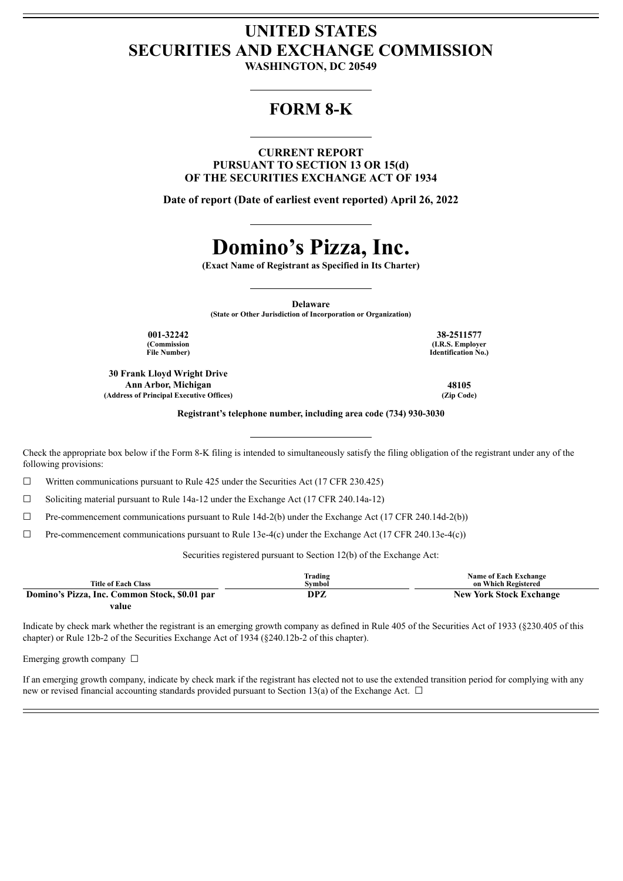## **UNITED STATES SECURITIES AND EXCHANGE COMMISSION**

**WASHINGTON, DC 20549**

### **FORM 8-K**

**CURRENT REPORT PURSUANT TO SECTION 13 OR 15(d) OF THE SECURITIES EXCHANGE ACT OF 1934**

**Date of report (Date of earliest event reported) April 26, 2022**

# **Domino's Pizza, Inc.**

**(Exact Name of Registrant as Specified in Its Charter)**

**Delaware**

**(State or Other Jurisdiction of Incorporation or Organization)**

**001-32242 38-2511577 (Commission File Number)**

**30 Frank Lloyd Wright Drive Ann Arbor, Michigan 48105 (Address of Principal Executive Offices) (Zip Code)**

**(I.R.S. Employer Identification No.)**

**Registrant's telephone number, including area code (734) 930-3030**

Check the appropriate box below if the Form 8-K filing is intended to simultaneously satisfy the filing obligation of the registrant under any of the following provisions:

 $\Box$  Written communications pursuant to Rule 425 under the Securities Act (17 CFR 230.425)

 $\Box$  Soliciting material pursuant to Rule 14a-12 under the Exchange Act (17 CFR 240.14a-12)

 $\Box$  Pre-commencement communications pursuant to Rule 14d-2(b) under the Exchange Act (17 CFR 240.14d-2(b))

 $\Box$  Pre-commencement communications pursuant to Rule 13e-4(c) under the Exchange Act (17 CFR 240.13e-4(c))

Securities registered pursuant to Section 12(b) of the Exchange Act:

| <b>Title of Each Class</b>                    | Trading<br>Svmbol | <b>Name of Each Exchange</b><br>on Which Registered |
|-----------------------------------------------|-------------------|-----------------------------------------------------|
| Domino's Pizza, Inc. Common Stock, \$0.01 par | DPZ               | <b>New York Stock Exchange</b>                      |
| value                                         |                   |                                                     |

Indicate by check mark whether the registrant is an emerging growth company as defined in Rule 405 of the Securities Act of 1933 (§230.405 of this chapter) or Rule 12b-2 of the Securities Exchange Act of 1934 (§240.12b-2 of this chapter).

Emerging growth company  $\Box$ 

If an emerging growth company, indicate by check mark if the registrant has elected not to use the extended transition period for complying with any new or revised financial accounting standards provided pursuant to Section 13(a) of the Exchange Act.  $\Box$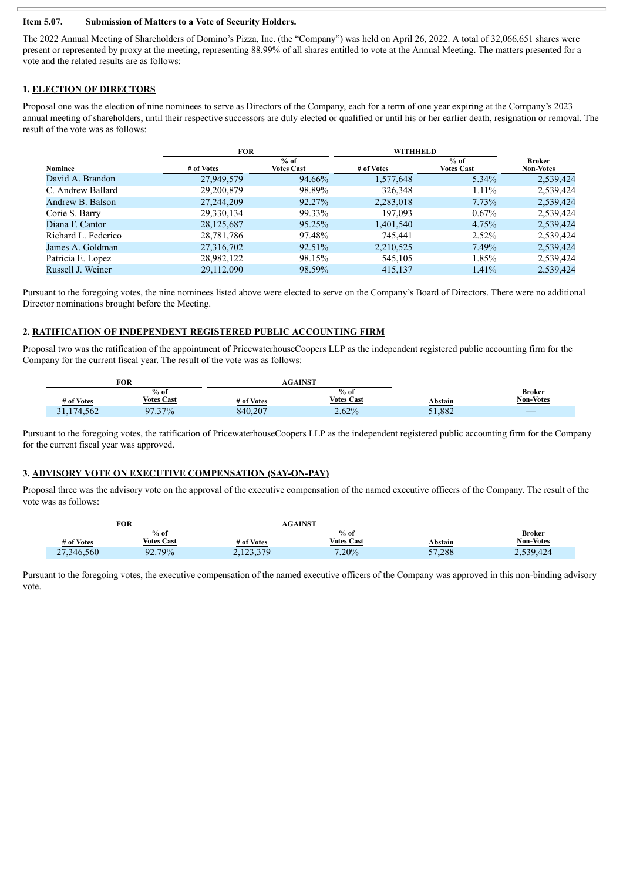#### **Item 5.07. Submission of Matters to a Vote of Security Holders.**

The 2022 Annual Meeting of Shareholders of Domino's Pizza, Inc. (the "Company") was held on April 26, 2022. A total of 32,066,651 shares were present or represented by proxy at the meeting, representing 88.99% of all shares entitled to vote at the Annual Meeting. The matters presented for a vote and the related results are as follows:

#### **1. ELECTION OF DIRECTORS**

Proposal one was the election of nine nominees to serve as Directors of the Company, each for a term of one year expiring at the Company's 2023 annual meeting of shareholders, until their respective successors are duly elected or qualified or until his or her earlier death, resignation or removal. The result of the vote was as follows:

|                     | <b>FOR</b> |                             | WITHHELD   |                             |                                   |
|---------------------|------------|-----------------------------|------------|-----------------------------|-----------------------------------|
| Nominee             | # of Votes | $%$ of<br><b>Votes Cast</b> | # of Votes | $%$ of<br><b>Votes Cast</b> | <b>Broker</b><br><b>Non-Votes</b> |
| David A. Brandon    | 27,949,579 | 94.66%                      | 1,577,648  | $5.34\%$                    | 2,539,424                         |
| C. Andrew Ballard   | 29,200,879 | 98.89%                      | 326,348    | $1.11\%$                    | 2,539,424                         |
| Andrew B. Balson    | 27,244,209 | 92.27%                      | 2,283,018  | 7.73%                       | 2,539,424                         |
| Corie S. Barry      | 29,330,134 | 99.33%                      | 197,093    | $0.67\%$                    | 2,539,424                         |
| Diana F. Cantor     | 28,125,687 | 95.25%                      | 1,401,540  | 4.75%                       | 2,539,424                         |
| Richard L. Federico | 28,781,786 | 97.48%                      | 745,441    | $2.52\%$                    | 2,539,424                         |
| James A. Goldman    | 27,316,702 | 92.51%                      | 2,210,525  | 7.49%                       | 2,539,424                         |
| Patricia E. Lopez   | 28,982,122 | 98.15%                      | 545,105    | 1.85%                       | 2,539,424                         |
| Russell J. Weiner   | 29,112,090 | 98.59%                      | 415,137    | 1.41%                       | 2,539,424                         |

Pursuant to the foregoing votes, the nine nominees listed above were elected to serve on the Company's Board of Directors. There were no additional Director nominations brought before the Meeting.

#### **2. RATIFICATION OF INDEPENDENT REGISTERED PUBLIC ACCOUNTING FIRM**

Proposal two was the ratification of the appointment of PricewaterhouseCoopers LLP as the independent registered public accounting firm for the Company for the current fiscal year. The result of the vote was as follows:

| FOR        |                   | <b>AGAINST</b> |                   |                |                  |
|------------|-------------------|----------------|-------------------|----------------|------------------|
|            | $%$ of            |                | $%$ of            |                | <b>Broker</b>    |
| # of Votes | <b>Votes Cast</b> | # of Votes     | <b>Votes Cast</b> | <u>Abstain</u> | <b>Non-Votes</b> |
| 31,174,562 | $7.37\%$<br>07    | 840,207        | $2.62\%$          | 51,882         |                  |

Pursuant to the foregoing votes, the ratification of PricewaterhouseCoopers LLP as the independent registered public accounting firm for the Company for the current fiscal year was approved.

#### **3. ADVISORY VOTE ON EXECUTIVE COMPENSATION (SAY-ON-PAY)**

Proposal three was the advisory vote on the approval of the executive compensation of the named executive officers of the Company. The result of the vote was as follows:

|            | FOR                         | AGAINST    |                             |         |                                                      |  |  |
|------------|-----------------------------|------------|-----------------------------|---------|------------------------------------------------------|--|--|
|            | $%$ of<br><b>Votes Cast</b> |            | $%$ of<br><b>Votes Cast</b> |         | <b>Broker</b><br><b>Non-Votes</b>                    |  |  |
| # of Votes |                             | # of Votes |                             | Abstain | <u> 1980 - Johann Stoff, Amerikaansk politiker (</u> |  |  |
| 27,346,560 | 79%<br>$\Omega$<br>72. I    | 2,123,379  | 7.20%                       | 57,288  | 2,539,424                                            |  |  |

Pursuant to the foregoing votes, the executive compensation of the named executive officers of the Company was approved in this non-binding advisory vote.